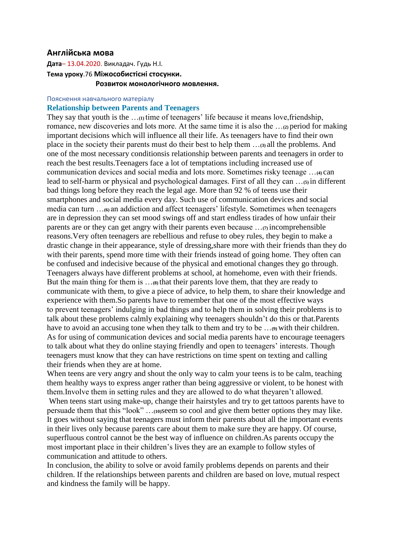## **Англійська мова**

**Дата**– 13.04.2020. Викладач. Гудь Н.І. **Тема уроку**.76 **Міжособистісні стосунки. Розвиток монологічного мовлення.**

## Пояснення навчального матеріалу

## **Relationship between Parents and Teenagers**

They say that youth is the …**(1)** time of teenagers' life because it means love,friendship, romance, new discoveries and lots more. At the same time it is also the …**(2)** period for making important decisions which will influence all their life. As teenagers have to find their own place in the society their parents must do their best to help them …**(3)** all the problems. And one of the most necessary conditionsis relationship between parents and teenagers in order to reach the best results.Teenagers face a lot of temptations including increased use of communication devices and social media and lots more. Sometimes risky teenage …**(4)** can lead to self-harm or physical and psychological damages. First of all they can …**(5)** in different bad things long before they reach the legal age. More than 92 % of teens use their smartphones and social media every day. Such use of communication devices and social media can turn ...<sub>(6)</sub> an addiction and affect teenagers' lifestyle. Sometimes when teenagers are in depression they can set mood swings off and start endless tirades of how unfair their parents are or they can get angry with their parents even because …**(7)** incomprehensible reasons.Very often teenagers are rebellious and refuse to obey rules, they begin to make a drastic change in their appearance, style of dressing,share more with their friends than they do with their parents, spend more time with their friends instead of going home. They often can be confused and indecisive because of the physical and emotional changes they go through. Teenagers always have different problems at school, at homehome, even with their friends. But the main thing for them is …**(8)** that their parents love them, that they are ready to communicate with them, to give a piece of advice, to help them, to share their knowledge and experience with them.So parents have to remember that one of the most effective ways to prevent teenagers' indulging in bad things and to help them in solving their problems is to talk about these problems calmly explaining why teenagers shouldn't do this or that.Parents have to avoid an accusing tone when they talk to them and try to be …**(9)** with their children. As for using of communication devices and social media parents have to encourage teenagers to talk about what they do online staying friendly and open to teenagers' interests. Though teenagers must know that they can have restrictions on time spent on texting and calling their friends when they are at home.

When teens are very angry and shout the only way to calm your teens is to be calm, teaching them healthy ways to express anger rather than being aggressive or violent, to be honest with them.Involve them in setting rules and they are allowed to do what theyaren't allowed.

When teens start using make-up, change their hairstyles and try to get tattoos parents have to persuade them that this "look" …**(10)**seem so cool and give them better options they may like. It goes without saying that teenagers must inform their parents about all the important events in their lives only because parents care about them to make sure they are happy. Of course, superfluous control cannot be the best way of influence on children.As parents occupy the most important place in their children's lives they are an example to follow styles of communication and attitude to others.

In conclusion, the ability to solve or avoid family problems depends on parents and their children. If the relationships between parents and children are based on love, mutual respect and kindness the family will be happy.